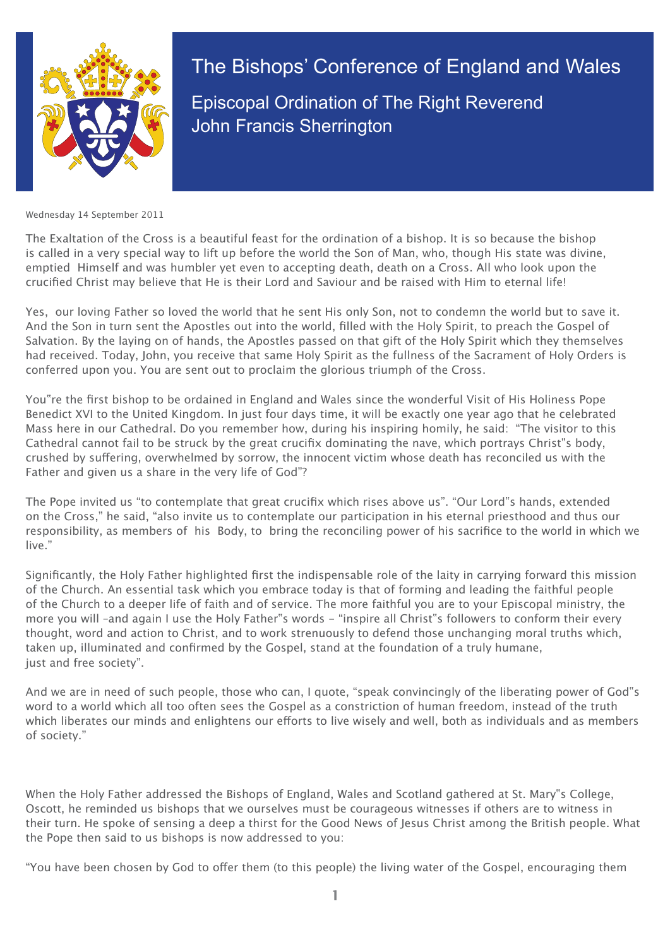

The Bishops' Conference of England and Wales Episcopal Ordination of The Right Reverend John Francis Sherrington

Wednesday 14 September 2011

The Exaltation of the Cross is a beautiful feast for the ordination of a bishop. It is so because the bishop is called in a very special way to lift up before the world the Son of Man, who, though His state was divine, emptied Himself and was humbler yet even to accepting death, death on a Cross. All who look upon the crucified Christ may believe that He is their Lord and Saviour and be raised with Him to eternal life!

Yes, our loving Father so loved the world that he sent His only Son, not to condemn the world but to save it. And the Son in turn sent the Apostles out into the world, filled with the Holy Spirit, to preach the Gospel of Salvation. By the laying on of hands, the Apostles passed on that gift of the Holy Spirit which they themselves had received. Today, John, you receive that same Holy Spirit as the fullness of the Sacrament of Holy Orders is conferred upon you. You are sent out to proclaim the glorious triumph of the Cross.

You"re the first bishop to be ordained in England and Wales since the wonderful Visit of His Holiness Pope Benedict XVI to the United Kingdom. In just four days time, it will be exactly one year ago that he celebrated Mass here in our Cathedral. Do you remember how, during his inspiring homily, he said: "The visitor to this Cathedral cannot fail to be struck by the great crucifix dominating the nave, which portrays Christ"s body, crushed by suffering, overwhelmed by sorrow, the innocent victim whose death has reconciled us with the Father and given us a share in the very life of God"?

The Pope invited us "to contemplate that great crucifix which rises above us". "Our Lord"s hands, extended on the Cross," he said, "also invite us to contemplate our participation in his eternal priesthood and thus our responsibility, as members of his Body, to bring the reconciling power of his sacrifice to the world in which we live."

Significantly, the Holy Father highlighted first the indispensable role of the laity in carrying forward this mission of the Church. An essential task which you embrace today is that of forming and leading the faithful people of the Church to a deeper life of faith and of service. The more faithful you are to your Episcopal ministry, the more you will -and again I use the Holy Father"s words - "inspire all Christ"s followers to conform their every thought, word and action to Christ, and to work strenuously to defend those unchanging moral truths which, taken up, illuminated and confirmed by the Gospel, stand at the foundation of a truly humane, just and free society".

And we are in need of such people, those who can, I quote, "speak convincingly of the liberating power of God"s word to a world which all too often sees the Gospel as a constriction of human freedom, instead of the truth which liberates our minds and enlightens our efforts to live wisely and well, both as individuals and as members of society."

When the Holy Father addressed the Bishops of England, Wales and Scotland gathered at St. Mary"s College, Oscott, he reminded us bishops that we ourselves must be courageous witnesses if others are to witness in their turn. He spoke of sensing a deep a thirst for the Good News of Jesus Christ among the British people. What the Pope then said to us bishops is now addressed to you:

"You have been chosen by God to offer them (to this people) the living water of the Gospel, encouraging them